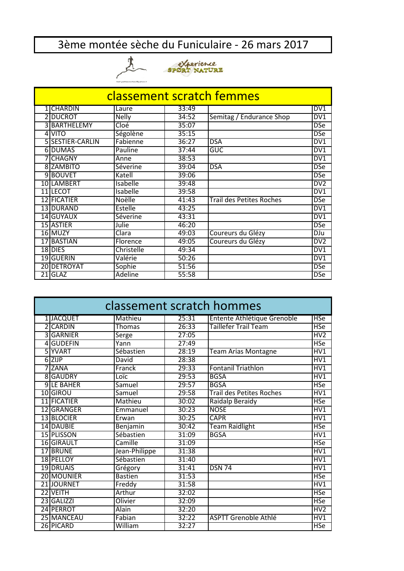## 3ème montée sèche du Funiculaire - 26 mars 2017





| classement scratch femmes |                    |                |       |                                 |                 |  |  |  |
|---------------------------|--------------------|----------------|-------|---------------------------------|-----------------|--|--|--|
|                           | 1 CHARDIN          | Laure          | 33:49 |                                 | DV1             |  |  |  |
|                           | 2 DUCROT           | <b>Nelly</b>   | 34:52 | Semitag / Endurance Shop        | DV1             |  |  |  |
| 31                        | <b>BARTHELEMY</b>  | Cloé           | 35:07 |                                 | <b>DSe</b>      |  |  |  |
| 41                        | <b>VITO</b>        | Ségolène       | 35:15 |                                 | <b>DSe</b>      |  |  |  |
|                           | 5 SESTIER-CARLIN   | Fabienne       | 36:27 | <b>DSA</b>                      | DV1             |  |  |  |
|                           | 6 DUMAS            | Pauline        | 37:44 | GUC                             | DV1             |  |  |  |
|                           | <b>7 CHAGNY</b>    | Anne           | 38:53 |                                 | DV1             |  |  |  |
|                           | 8 ZAMBITO          | Séverine       | 39:04 | <b>DSA</b>                      | <b>DSe</b>      |  |  |  |
|                           | 9BOUVET            | Katell         | 39:06 |                                 | <b>DSe</b>      |  |  |  |
|                           | 10 LAMBERT         | Isabelle       | 39:48 |                                 | DV2             |  |  |  |
|                           | 11 LECOT           | Isabelle       | 39:58 |                                 | DV1             |  |  |  |
|                           | <b>12 FICATIER</b> | Noëlle         | 41:43 | <b>Trail des Petites Roches</b> | <b>DSe</b>      |  |  |  |
|                           | <b>13 DURAND</b>   | <b>Estelle</b> | 43:25 |                                 | DV1             |  |  |  |
|                           | 14 GUYAUX          | Séverine       | 43:31 |                                 | DVI             |  |  |  |
|                           | 15 ASTIER          | Julie          | 46:20 |                                 | <b>DSe</b>      |  |  |  |
|                           | 16 MUZY            | Clara          | 49:03 | Coureurs du Glézy               | DJu             |  |  |  |
|                           | 17 BASTIAN         | Florence       | 49:05 | Coureurs du Glézy               | DV <sub>2</sub> |  |  |  |
|                           | 18 DIES            | Christelle     | 49:34 |                                 | DV1             |  |  |  |
|                           | 19 GUERIN          | Valérie        | 50:26 |                                 | DV1             |  |  |  |
|                           | 20 DETROYAT        | Sophie         | 51:56 |                                 | <b>DSe</b>      |  |  |  |
| 21                        | <b>GLAZ</b>        | <b>Adeline</b> | 55:58 |                                 | <b>DSe</b>      |  |  |  |

| classement scratch hommes |                   |                |       |                                 |                |  |  |
|---------------------------|-------------------|----------------|-------|---------------------------------|----------------|--|--|
|                           | 1 JACQUET         | Mathieu        | 25:31 | Entente Athlétique Grenoble     | <b>HSe</b>     |  |  |
|                           | 2 CARDIN          | <b>Thomas</b>  | 26:33 | Taillefer Trail Team            | <b>HSe</b>     |  |  |
|                           | 3 GARNIER         | <b>Serge</b>   | 27:05 |                                 | HV2            |  |  |
|                           | 4 GUDEFIN         | Yann           | 27:49 |                                 | <b>HSe</b>     |  |  |
|                           | 5 YVART           | Sébastien      | 28:19 | <b>Team Arias Montagne</b>      | HV1            |  |  |
|                           | 6 ZIJP            | David          | 28:38 |                                 | HV1            |  |  |
|                           | 7 ZANA            | Franck         | 29:33 | Fontanil Triathlon              | HV1            |  |  |
|                           | 8 GAUDRY          | Loïc           | 29:53 | <b>BGSA</b>                     | HV1            |  |  |
|                           | <b>9 LE BAHER</b> | <b>Samuel</b>  | 29:57 | <b>BGSA</b>                     | <b>HSe</b>     |  |  |
|                           | 10 GIROU          | Samuel         | 29:58 | <b>Trail des Petites Roches</b> | HV1            |  |  |
|                           | 11 FICATIER       | Mathieu        | 30:02 | Raidalp Beraidy                 | <b>HSe</b>     |  |  |
|                           | 12 GRANGER        | Emmanuel       | 30:23 | <b>NOSE</b>                     | HV1            |  |  |
|                           | 13 BLOCIER        | Erwan          | 30:25 | <b>CAPR</b>                     | HV1            |  |  |
|                           | 14 DAUBIE         | Benjamin       | 30:42 | <b>Team Raidlight</b>           | <b>HSe</b>     |  |  |
|                           | 15 PLISSON        | Sébastien      | 31:09 | <b>BGSA</b>                     | HV1            |  |  |
|                           | 16 GIRAULT        | Camille        | 31:09 |                                 | <b>HSe</b>     |  |  |
|                           | 17 BRUNE          | Jean-Philippe  | 31:38 |                                 | HVI            |  |  |
|                           | 18 PELLOY         | Sébastien      | 31:40 |                                 | HVI            |  |  |
|                           | 19 DRUAIS         | Grégory        | 31:41 | <b>DSN 74</b>                   | HV1            |  |  |
|                           | 20 MOUNIER        | <b>Bastien</b> | 31:53 |                                 | <b>HSe</b>     |  |  |
|                           | 21 JOURNET        | Freddy         | 31:58 |                                 | HV1            |  |  |
|                           | 22 VEITH          | Arthur         | 32:02 |                                 | <b>HSe</b>     |  |  |
|                           | 23 GALIZZI        | Olivier        | 32:09 |                                 | <b>HSe</b>     |  |  |
|                           | 24 PERROT         | Alain          | 32:20 |                                 | H <sub>V</sub> |  |  |
|                           | 25 MANCEAU        | Fabian         | 32:22 | <b>ASPTT Grenoble Athlé</b>     | HV1            |  |  |
|                           | 26 PICARD         | William        | 32:27 |                                 | HSe            |  |  |